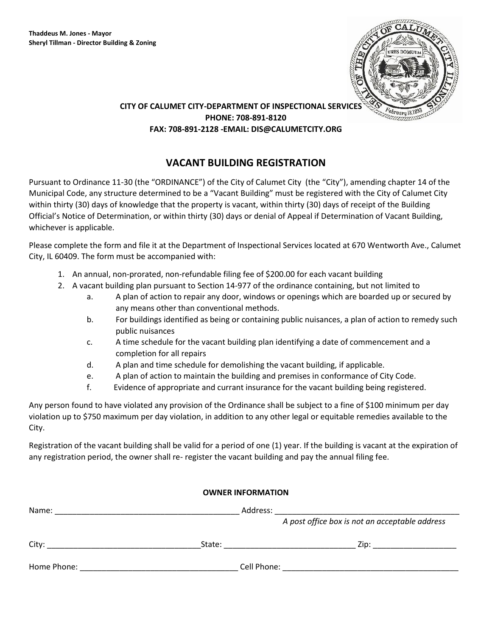

## **CITY OF CALUMET CITY-DEPARTMENT OF INSPECTIONAL SERVICES PHONE: 708-891-8120 FAX: 708-891-2128 -EMAIL: DIS@CALUMETCITY.ORG**

## **VACANT BUILDING REGISTRATION**

Pursuant to Ordinance 11-30 (the "ORDINANCE") of the City of Calumet City (the "City"), amending chapter 14 of the Municipal Code, any structure determined to be a "Vacant Building" must be registered with the City of Calumet City within thirty (30) days of knowledge that the property is vacant, within thirty (30) days of receipt of the Building Official's Notice of Determination, or within thirty (30) days or denial of Appeal if Determination of Vacant Building, whichever is applicable.

Please complete the form and file it at the Department of Inspectional Services located at 670 Wentworth Ave., Calumet City, IL 60409. The form must be accompanied with:

- 1. An annual, non-prorated, non-refundable filing fee of \$200.00 for each vacant building
- 2. A vacant building plan pursuant to Section 14-977 of the ordinance containing, but not limited to
	- a. A plan of action to repair any door, windows or openings which are boarded up or secured by any means other than conventional methods.
	- b. For buildings identified as being or containing public nuisances, a plan of action to remedy such public nuisances
	- c. A time schedule for the vacant building plan identifying a date of commencement and a completion for all repairs
	- d. A plan and time schedule for demolishing the vacant building, if applicable.
	- e. A plan of action to maintain the building and premises in conformance of City Code.
	- f. Evidence of appropriate and currant insurance for the vacant building being registered.

Any person found to have violated any provision of the Ordinance shall be subject to a fine of \$100 minimum per day violation up to \$750 maximum per day violation, in addition to any other legal or equitable remedies available to the City.

Registration of the vacant building shall be valid for a period of one (1) year. If the building is vacant at the expiration of any registration period, the owner shall re- register the vacant building and pay the annual filing fee.

| <b>OWNER INFORMATION</b> |                                                                                                                                      |                                                |  |  |
|--------------------------|--------------------------------------------------------------------------------------------------------------------------------------|------------------------------------------------|--|--|
| Name:                    |                                                                                                                                      |                                                |  |  |
|                          |                                                                                                                                      | A post office box is not an acceptable address |  |  |
|                          |                                                                                                                                      | Zip: _______________________                   |  |  |
| Home Phone:              | Cell Phone:<br><u> 1980 - Johann John Stein, mars an deutscher Stein und der Stein und der Stein und der Stein und der Stein und</u> |                                                |  |  |